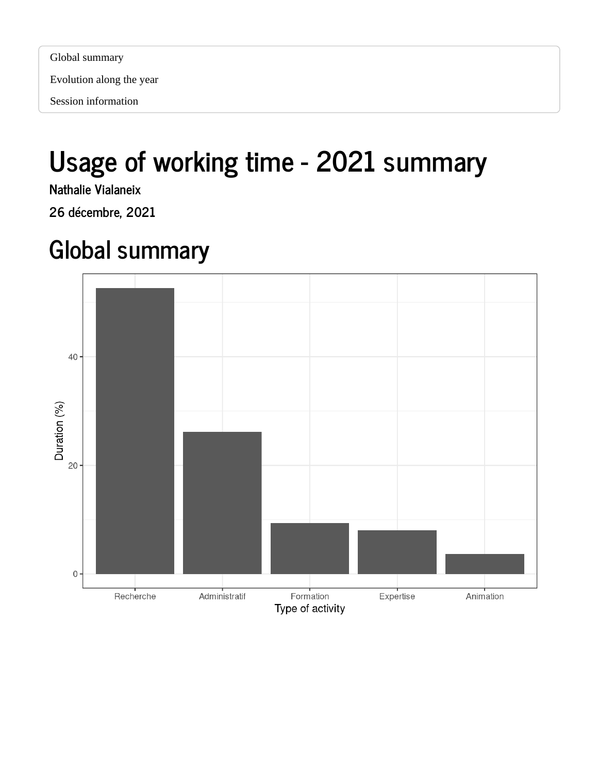Evolution along the year

## Usage of working time - 2021 summary

Nathalie Vialaneix

26 décembre, 2021

## Global summary

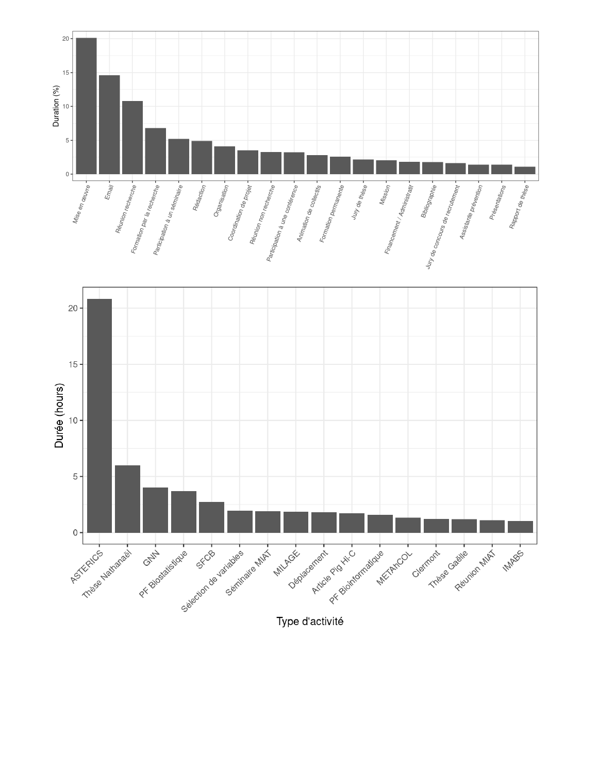

Type d'activité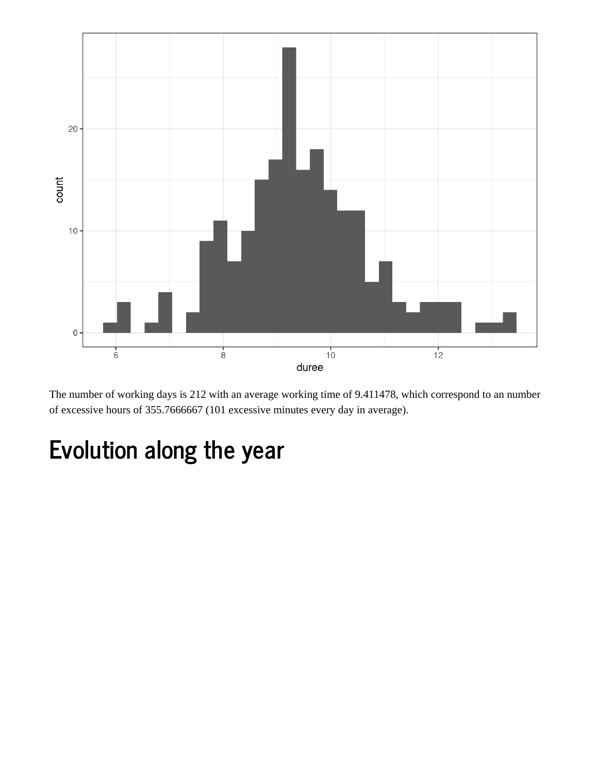

The number of working days is 212 with an average working time of 9.411478, which correspond to an number of excessive hours of 355.7666667 (101 excessive minutes every day in average).

## Evolution along the year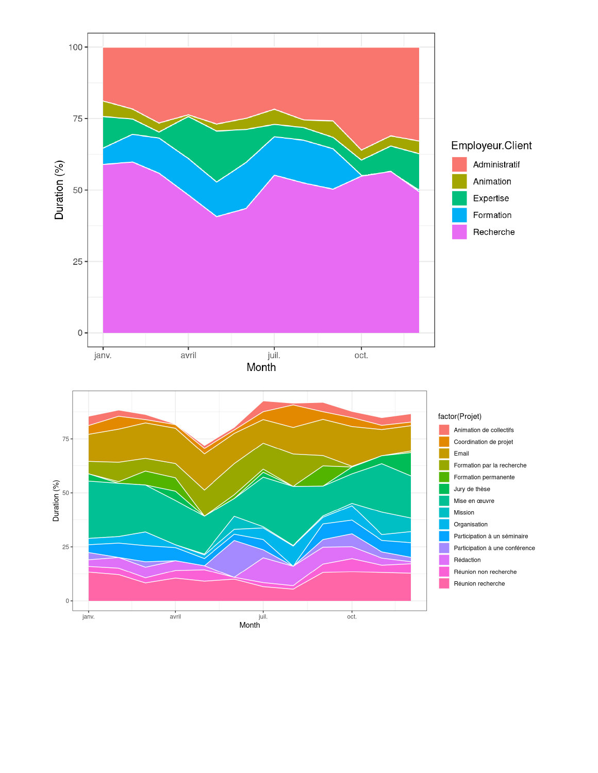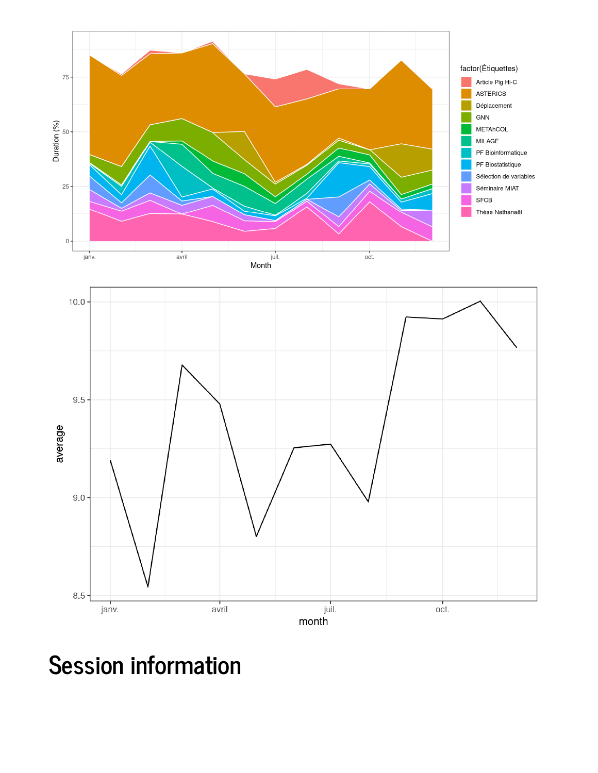

Session information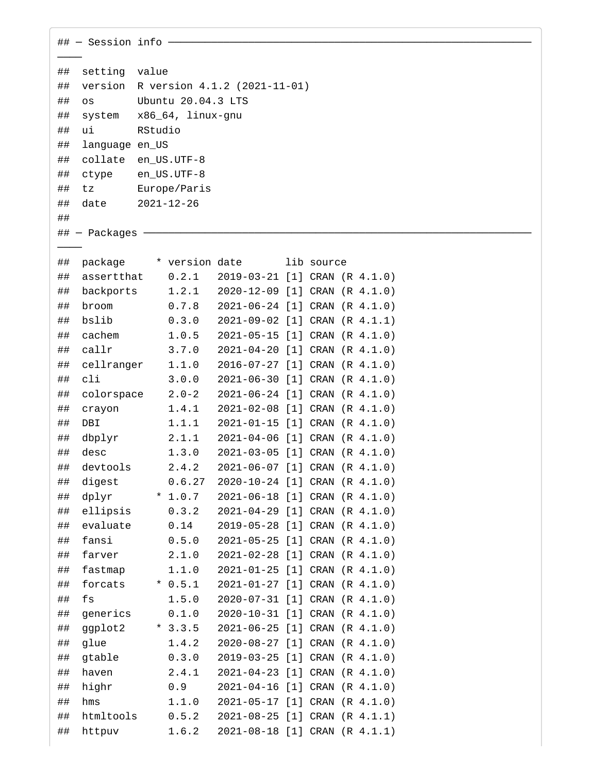| $\#$ - Session info ------ |                             |                                  |                                                                |  |  |  |  |  |  |  |  |
|----------------------------|-----------------------------|----------------------------------|----------------------------------------------------------------|--|--|--|--|--|--|--|--|
|                            |                             |                                  |                                                                |  |  |  |  |  |  |  |  |
| ##                         | setting value               |                                  |                                                                |  |  |  |  |  |  |  |  |
| ##                         | version                     | R version 4.1.2 (2021-11-01)     |                                                                |  |  |  |  |  |  |  |  |
| ##                         | Ubuntu 20.04.3 LTS<br>0S    |                                  |                                                                |  |  |  |  |  |  |  |  |
| ##                         | system<br>x86_64, linux-gnu |                                  |                                                                |  |  |  |  |  |  |  |  |
| ##                         | RStudio<br>ui               |                                  |                                                                |  |  |  |  |  |  |  |  |
| ##                         | language en_US              |                                  |                                                                |  |  |  |  |  |  |  |  |
| ##                         |                             | collate en_US.UTF-8              |                                                                |  |  |  |  |  |  |  |  |
| ##                         | ctype                       | en_US.UTF-8                      |                                                                |  |  |  |  |  |  |  |  |
| ##<br>##                   | tz<br>date                  | Europe/Paris<br>$2021 - 12 - 26$ |                                                                |  |  |  |  |  |  |  |  |
| ##                         |                             |                                  |                                                                |  |  |  |  |  |  |  |  |
|                            | $\#$ $+$ Packages $-$       |                                  |                                                                |  |  |  |  |  |  |  |  |
|                            |                             |                                  |                                                                |  |  |  |  |  |  |  |  |
| ##                         | package                     |                                  | * version date<br>lib source                                   |  |  |  |  |  |  |  |  |
| ##                         | assertthat                  | 0.2.1                            | 2019-03-21 [1] CRAN (R 4.1.0)                                  |  |  |  |  |  |  |  |  |
| ##                         | backports                   | 1.2.1                            | 2020-12-09 [1] CRAN (R 4.1.0)                                  |  |  |  |  |  |  |  |  |
| ##                         | broom                       | 0.7.8                            | 2021-06-24 [1] CRAN (R 4.1.0)                                  |  |  |  |  |  |  |  |  |
| ##                         | bslib                       | 0.3.0                            | 2021-09-02 [1] CRAN (R 4.1.1)                                  |  |  |  |  |  |  |  |  |
| ##                         | cachem                      | 1.0.5                            | 2021-05-15 [1] CRAN (R 4.1.0)                                  |  |  |  |  |  |  |  |  |
| ##                         | callr                       | 3.7.0                            | 2021-04-20 [1] CRAN (R 4.1.0)                                  |  |  |  |  |  |  |  |  |
| ##                         | cellranger                  | 1.1.0                            | 2016-07-27 [1] CRAN (R 4.1.0)                                  |  |  |  |  |  |  |  |  |
| ##                         | cli                         | 3.0.0                            | 2021-06-30 [1] CRAN (R 4.1.0)                                  |  |  |  |  |  |  |  |  |
| ##                         | colorspace                  | $2.0 - 2$                        | 2021-06-24 [1] CRAN (R 4.1.0)                                  |  |  |  |  |  |  |  |  |
| ##                         | crayon                      | 1.4.1                            | 2021-02-08 [1] CRAN (R 4.1.0)                                  |  |  |  |  |  |  |  |  |
| ##                         | DBI                         | 1.1.1                            | 2021-01-15 [1] CRAN (R 4.1.0)                                  |  |  |  |  |  |  |  |  |
| ##                         | dbplyr                      | 2.1.1                            | 2021-04-06 [1] CRAN (R 4.1.0)                                  |  |  |  |  |  |  |  |  |
| ##                         | desc                        | 1.3.0                            | 2021-03-05 [1] CRAN (R 4.1.0)                                  |  |  |  |  |  |  |  |  |
| ##                         | devtools                    | 2.4.2                            | 2021-06-07 [1] CRAN (R 4.1.0)                                  |  |  |  |  |  |  |  |  |
| ##                         | digest                      | 0.6.27                           | 2020-10-24 [1] CRAN (R 4.1.0)                                  |  |  |  |  |  |  |  |  |
| ##                         | dplyr                       | $*1.0.7$                         | 2021-06-18 [1] CRAN (R 4.1.0)                                  |  |  |  |  |  |  |  |  |
| ##                         | ellipsis                    | 0.3.2                            | 2021-04-29 [1] CRAN (R 4.1.0)                                  |  |  |  |  |  |  |  |  |
| ##                         | evaluate                    | 0.14                             | 2019-05-28 [1] CRAN (R 4.1.0)                                  |  |  |  |  |  |  |  |  |
| ##                         | fansi                       | 0.5.0                            | 2021-05-25 [1] CRAN (R 4.1.0)                                  |  |  |  |  |  |  |  |  |
| ##                         | farver                      | 2.1.0<br>1.1.0                   | 2021-02-28 [1] CRAN (R 4.1.0)                                  |  |  |  |  |  |  |  |  |
| ##<br>##                   | fastmap<br>forcats          | $* 0.5.1$                        | 2021-01-25 [1] CRAN (R 4.1.0)<br>2021-01-27 [1] CRAN (R 4.1.0) |  |  |  |  |  |  |  |  |
| ##                         | fs                          | 1.5.0                            | 2020-07-31 [1] CRAN (R 4.1.0)                                  |  |  |  |  |  |  |  |  |
| ##                         | generics                    | 0.1.0                            | 2020-10-31 [1] CRAN (R 4.1.0)                                  |  |  |  |  |  |  |  |  |
| ##                         | ggplot2                     | $*3.3.5$                         | 2021-06-25 [1] CRAN (R 4.1.0)                                  |  |  |  |  |  |  |  |  |
| ##                         | glue                        | 1.4.2                            | 2020-08-27 [1] CRAN (R 4.1.0)                                  |  |  |  |  |  |  |  |  |
| ##                         | gtable                      | 0.3.0                            | 2019-03-25 [1] CRAN (R 4.1.0)                                  |  |  |  |  |  |  |  |  |
| ##                         | haven                       | 2.4.1                            | 2021-04-23 [1] CRAN (R 4.1.0)                                  |  |  |  |  |  |  |  |  |
| ##                         | highr                       | 0.9                              | 2021-04-16 [1] CRAN (R 4.1.0)                                  |  |  |  |  |  |  |  |  |
| ##                         | hms                         | 1.1.0                            | 2021-05-17 [1] CRAN (R 4.1.0)                                  |  |  |  |  |  |  |  |  |
| ##                         | htmltools                   | 0.5.2                            | 2021-08-25 [1] CRAN (R 4.1.1)                                  |  |  |  |  |  |  |  |  |
| ##                         | httpuv                      | 1.6.2                            | 2021-08-18 [1] CRAN (R 4.1.1)                                  |  |  |  |  |  |  |  |  |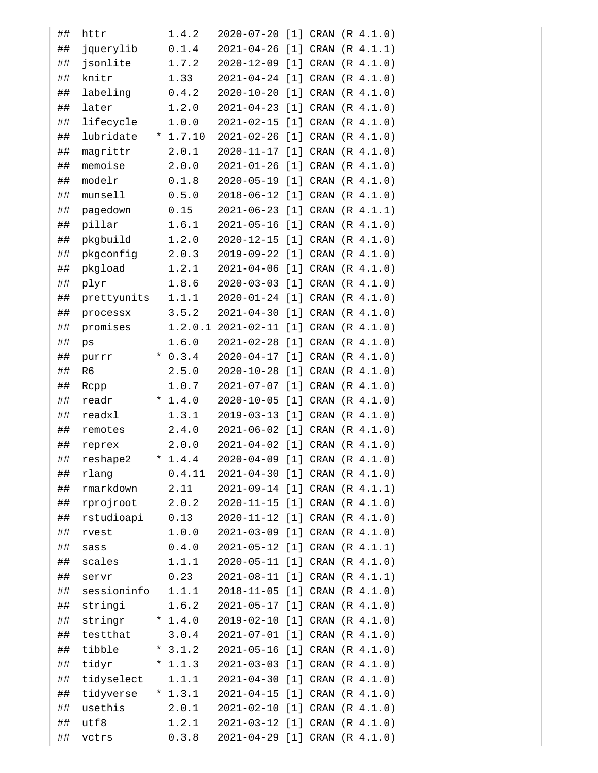| ## | httr        |         | 1.4.2    | 2020-07-20                    |                   |             | $[1]$ CRAN $(R$ 4.1.0)           |
|----|-------------|---------|----------|-------------------------------|-------------------|-------------|----------------------------------|
| ## | jquerylib   |         | 0.1.4    | 2021-04-26                    | $[1]$             | <b>CRAN</b> | (R 4.1.1)                        |
| ## | jsonlite    |         | 1.7.2    | 2020-12-09                    | $\lceil 1 \rceil$ | <b>CRAN</b> | (R 4.1.0)                        |
| ## | knitr       |         | 1.33     | 2021-04-24                    | $\lceil 1 \rceil$ | <b>CRAN</b> | (R 4.1.0)                        |
| ## | labeling    |         | 0.4.2    | 2020-10-20                    | $[1]$             | <b>CRAN</b> | (R 4.1.0)                        |
| ## | later       |         | 1.2.0    | 2021-04-23                    | $[1]$             | <b>CRAN</b> | (R 4.1.0)                        |
| ## | lifecycle   |         | 1.0.0    | 2021-02-15                    | $[1]$             | <b>CRAN</b> | (R 4.1.0)                        |
| ## | lubridate   | $\star$ | 1.7.10   | $2021 - 02 - 26$              | $[1]$             | <b>CRAN</b> | (R 4.1.0)                        |
| ## | magrittr    |         | 2.0.1    | $2020 - 11 - 17$              | $[1]$             | <b>CRAN</b> | (R 4.1.0)                        |
| ## | memoise     |         | 2.0.0    | 2021-01-26                    | $[1]$             | <b>CRAN</b> | (R 4.1.0)                        |
| ## | modelr      |         | 0.1.8    | 2020-05-19                    | $[1]$             | <b>CRAN</b> | (R 4.1.0)                        |
| ## | munsell     |         | 0.5.0    | $2018 - 06 - 12$              | $[1]$             | <b>CRAN</b> | (R 4.1.0)                        |
| ## | pagedown    |         | 0.15     | 2021-06-23                    | $[1]$             | <b>CRAN</b> | (R 4.1.1)                        |
| ## | pillar      |         | 1.6.1    | 2021-05-16                    | $[1]$             | <b>CRAN</b> | (R 4.1.0)                        |
| ## | pkgbuild    |         | 1.2.0    | 2020-12-15                    | $[1]$             | <b>CRAN</b> | (R 4.1.0)                        |
| ## | pkgconfig   |         | 2.0.3    | 2019-09-22                    | $[1]$             | <b>CRAN</b> | (R 4.1.0)                        |
| ## | pkgload     |         | 1.2.1    | 2021-04-06                    | $[1]$             | <b>CRAN</b> | (R 4.1.0)                        |
| ## | plyr        |         | 1.8.6    | 2020-03-03                    | $[1]$             | <b>CRAN</b> | (R 4.1.0)                        |
| ## | prettyunits |         | 1.1.1    | 2020-01-24                    | $[1]$             | <b>CRAN</b> | (R 4.1.0)                        |
| ## | processx    |         | 3.5.2    | 2021-04-30                    | $[1]$             | <b>CRAN</b> | (R 4.1.0)                        |
| ## | promises    |         | 1.2.0.1  | $2021 - 02 - 11$              | $[1]$             | <b>CRAN</b> | (R 4.1.0)                        |
| ## | ps          |         | 1.6.0    | 2021-02-28                    | $[1]$             | <b>CRAN</b> | (R 4.1.0)                        |
| ## | purrr       |         | 0.3.4    | 2020-04-17                    | $[1]$             | <b>CRAN</b> | (R 4.1.0)                        |
| ## | R6          |         | 2.5.0    | $2020 - 10 - 28$              | $\lceil 1 \rceil$ | <b>CRAN</b> | (R 4.1.0)                        |
| ## | Rcpp        |         | 1.0.7    | 2021-07-07                    | $[1]$             | <b>CRAN</b> | (R 4.1.0)                        |
| ## | readr       |         | $*1.4.0$ | 2020-10-05                    | $\lceil 1 \rceil$ | <b>CRAN</b> | (R 4.1.0)                        |
| ## | readxl      |         | 1.3.1    | 2019-03-13                    | $[1]$             | <b>CRAN</b> | (R 4.1.0)                        |
| ## | remotes     |         | 2.4.0    | 2021-06-02                    | $\lceil 1 \rceil$ | <b>CRAN</b> | (R 4.1.0)                        |
| ## | reprex      |         | 2.0.0    | 2021-04-02                    | $\lceil 1 \rceil$ | <b>CRAN</b> | (R 4.1.0)                        |
| ## | reshape2    | *       | 1.4.4    | 2020-04-09                    | [1]               | CRAN        | (R 4.1.0)                        |
| ## | rlang       |         | 0.4.11   | 2021-04-30 [1] CRAN (R 4.1.0) |                   |             |                                  |
| ## | rmarkdown   |         | 2.11     | 2021-09-14                    |                   |             | $\lceil 1 \rceil$ CRAN (R 4.1.1) |
| ## | rprojroot   |         | 2.0.2    | 2020-11-15                    | $\lceil 1 \rceil$ | CRAN        | (R 4.1.0)                        |
| ## | rstudioapi  |         | 0.13     | 2020-11-12 [1] CRAN (R 4.1.0) |                   |             |                                  |
| ## | rvest       |         | 1.0.0    | 2021-03-09                    | $\lceil 1 \rceil$ | CRAN        | (R 4.1.0)                        |
| ## | sass        |         | 0.4.0    | 2021-05-12 [1] CRAN (R 4.1.1) |                   |             |                                  |
| ## | scales      |         | 1.1.1    | 2020-05-11                    | $\lceil 1 \rceil$ | CRAN        | (R 4.1.0)                        |
| ## | servr       |         | 0.23     | 2021-08-11 [1] CRAN (R 4.1.1) |                   |             |                                  |
| ## | sessioninfo |         | 1.1.1    | 2018-11-05                    | $\lceil 1 \rceil$ | CRAN        | (R 4.1.0)                        |
| ## | stringi     |         | 1.6.2    | 2021-05-17                    |                   |             | $[1]$ CRAN $(R 4.1.0)$           |
| ## | stringr     |         | $*1.4.0$ | 2019-02-10                    | $\lceil 1 \rceil$ | CRAN        | (R 4.1.0)                        |
| ## | testthat    |         | 3.0.4    | 2021-07-01 [1] CRAN (R 4.1.0) |                   |             |                                  |
| ## | tibble      | $\star$ | 3.1.2    | 2021-05-16                    | $\lceil 1 \rceil$ | CRAN        | (R 4.1.0)                        |
| ## | tidyr       | ×       | 1.1.3    | 2021-03-03                    |                   |             | $[1]$ CRAN $(R 4.1.0)$           |
| ## | tidyselect  |         | 1.1.1    | 2021-04-30                    | $\lceil 1 \rceil$ | CRAN        | (R 4.1.0)                        |
| ## | tidyverse   |         | $*1.3.1$ | 2021-04-15                    |                   |             | $[1]$ CRAN $(R$ 4.1.0)           |
| ## | usethis     |         | 2.0.1    | 2021-02-10                    | $\lceil 1 \rceil$ | CRAN        | (R 4.1.0)                        |
| ## | utf8        |         | 1.2.1    | 2021-03-12 [1] CRAN (R 4.1.0) |                   |             |                                  |
| ## | vctrs       |         | 0.3.8    | 2021-04-29 [1]                |                   |             | CRAN (R 4.1.0)                   |